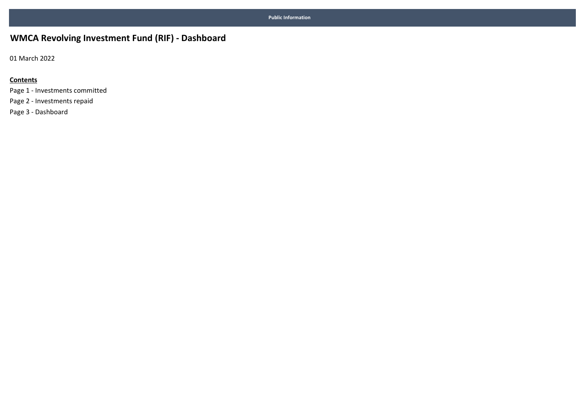## WMCA Revolving Investment Fund (RIF) - Dashboard

01 March 2022

#### **Contents**

Page 1 - Investments committed Page 2 - Investments repaid Page 3 - Dashboard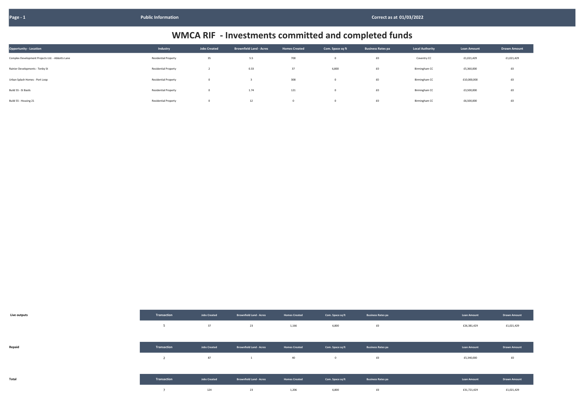| <b>Opportunity - Location</b>                    | Industry                    | <b>Jobs Created</b> | <b>Brownfield Land - Acres</b> | <b>Homes Created</b> | Com. Space sq ft | <b>Business Rates pa</b> | <b>Local Authority</b> | <b>Loan Amount</b> | <b>Drawn Amount</b> |
|--------------------------------------------------|-----------------------------|---------------------|--------------------------------|----------------------|------------------|--------------------------|------------------------|--------------------|---------------------|
| Complex Development Projects Ltd. - Abbotts Lane | <b>Residential Property</b> | 35                  | 5.5                            | 700                  |                  | £0                       | Coventry CC            | £1,021,429         | £1,021,429          |
| Rainier Developments - Tenby St                  | <b>Residential Property</b> |                     | 0.33                           | 37                   | 6,800            | £0                       | Birmingham CC          | £5,360,000         | f0                  |
| Urban Splash Homes - Port Loop                   | <b>Residential Property</b> | $\Omega$            |                                | 308                  |                  | $\pmb{\text{f0}}$        | Birmingham CC          | £10,000,000        | f0                  |
| Build 55 - St Basils                             | <b>Residential Property</b> | $\mathbf 0$         | 1.74                           | 121                  |                  | $\pmb{\text{f0}}$        | Birmingham CC          | £3,500,000         | £0                  |
| Build 55 - Housing 21                            | <b>Residential Property</b> | $^{\circ}$          | 12                             | $\Omega$             |                  | £0                       | Birmingham CC          | £6,500,000         | £0                  |

| Live outputs |  |
|--------------|--|

| Live outputs | Transaction                               | <b>Jobs Created</b> | <b>Brownfield Land - Acres</b> | <b>Homes Created</b> | Com. Space sq ft | <b>Business Rates pa</b> | <b>Loan Amount</b> | <b>Drawn Amount</b> |
|--------------|-------------------------------------------|---------------------|--------------------------------|----------------------|------------------|--------------------------|--------------------|---------------------|
|              | 5                                         | 37                  | 23                             | 1,166                | 6,800            | £0                       | £26,381,429        | £1,021,429          |
|              |                                           |                     |                                |                      |                  |                          |                    |                     |
| Repaid       | Transaction                               | <b>Jobs Created</b> | <b>Brownfield Land - Acres</b> | <b>Homes Created</b> | Com. Space sq ft | <b>Business Rates pa</b> | <b>Loan Amount</b> | <b>Drawn Amount</b> |
|              | $\overline{\phantom{a}}$<br>$\mathcal{L}$ | 87                  | 1                              | 40                   | $\mathbf 0$      | £0                       | £5,340,000         | £0                  |
|              |                                           |                     |                                |                      |                  |                          |                    |                     |
| Total        | Transaction                               | <b>Jobs Created</b> | <b>Brownfield Land - Acres</b> | <b>Homes Created</b> | Com. Space sq ft | <b>Business Rates pa</b> | Loan Amount        | <b>Drawn Amount</b> |
|              | ь                                         | 124                 | 23                             | 1,206                | 6,800            | f0                       | £31,721,429        | £1,021,429          |

| <b>Loan Amount</b> | <b>Drawn Amount</b> |
|--------------------|---------------------|
| £1,021,429         | £1,021,429          |
| £5,360,000         | £0                  |
| £10,000,000        | £0                  |
| £3,500,000         | £0                  |
| £6,500,000         | £0                  |

| <b>Loan Amount</b> | <b>Drawn Amount</b> |
|--------------------|---------------------|
| £26,381,429        | £1,021,429          |
|                    |                     |
| <b>Loan Amount</b> | <b>Drawn Amount</b> |
| £5,340,000         | £0                  |
|                    |                     |
| <b>Loan Amount</b> | <b>Drawn Amount</b> |
| £31,721,429        | £1,021,429          |

# WMCA RIF - Investments committed and completed funds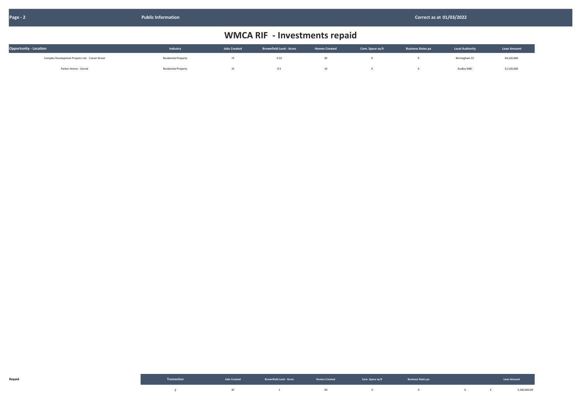| <b>Opportunity - Location</b>                     | Industry                    | <b>Jobs Created</b> | <b>Brownfield Land - Acres</b> | <b>Homes Created</b> | Com. Space sq ft | <b>Business Rates pa</b> | <b>Local Authority</b> | <b>Loan Amount</b> |
|---------------------------------------------------|-----------------------------|---------------------|--------------------------------|----------------------|------------------|--------------------------|------------------------|--------------------|
| Complex Development Projects Ltd. - Carver Street | <b>Residential Property</b> | 74                  | 0.22                           |                      |                  |                          | Birmingham CC          | £4,220,000         |
| Parkes Homes - Gornal                             | <b>Residential Property</b> | 15                  | 0.5                            |                      |                  |                          | Dudley MBC             | £1,120,000         |

|  | Transaction and the second version of the second of the second of the second of the second of the second of the second of the second of the second of the second of the second of the second of the second of the second of th |  | <b>Example 2008</b> Service Communication of the Communication of the Communication of the Communication of the Communication of the Communication of the Communication of the Communication of the Communication of the Communicat |              |
|--|--------------------------------------------------------------------------------------------------------------------------------------------------------------------------------------------------------------------------------|--|-------------------------------------------------------------------------------------------------------------------------------------------------------------------------------------------------------------------------------------|--------------|
|  |                                                                                                                                                                                                                                |  |                                                                                                                                                                                                                                     | 5,340,000.00 |

| <b>Local Authority</b> | <b>Loan Amount</b> |
|------------------------|--------------------|
| Birmingham CC          | £4,220,000         |
| Dudley MRC             | £1 120,000         |

# WMCA RIF - Investments repaid